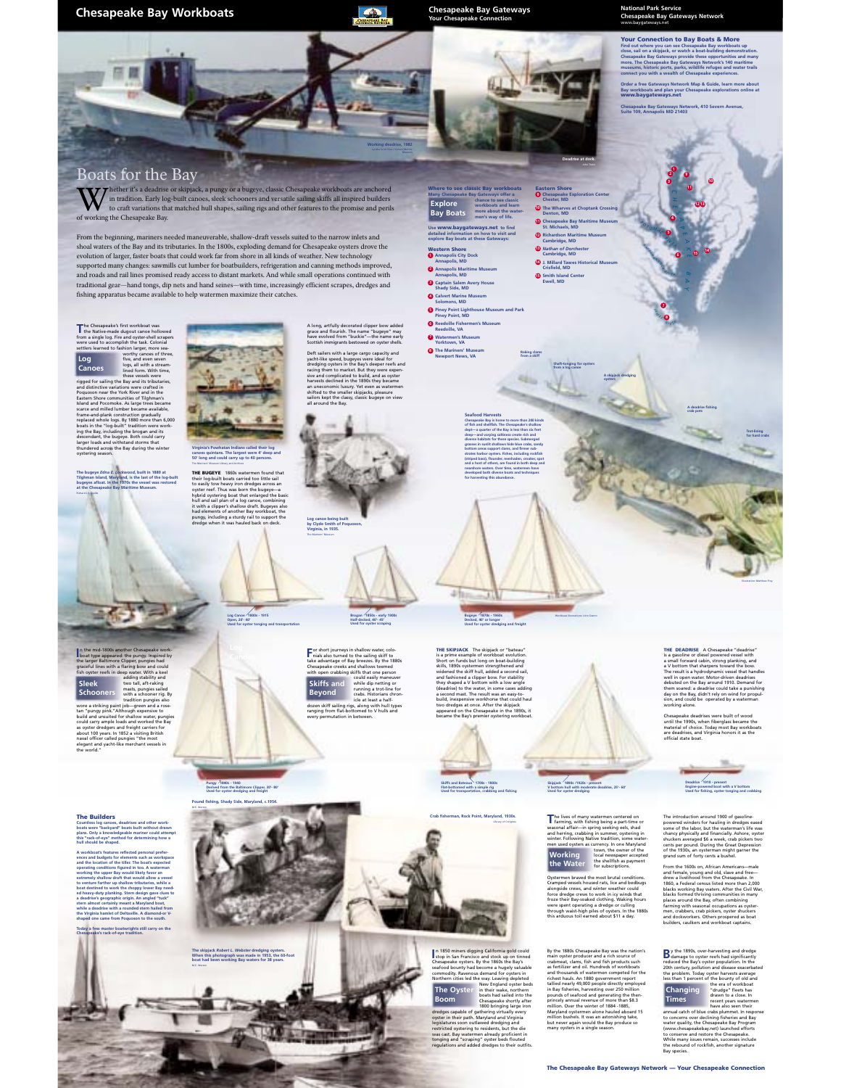**Chesapeake Bay Workboats** *Chesapeake Bay Gateways* **<b>Chesapeake Bay Gateways** *Chesapeake Connection* 



**Working deadrise, 1982**

**Where to see classic Bay workboats Explore**<br> **Explore**<br> **Chance to see classic**<br> **Chance to see classic**<br> **Chance to see classic**<br> **more about the water-**<br> **men's way of life. Use www.baygateways.net to find detailed information on how to visit and explore Bay boats at these Gateways: Western Shore Annapolis City Dock Annapolis, MD 1 Annapolis Maritime Museum Annapolis, MD 2 Captain Salem Avery House Shady Side, MD 3 Calvert Marine Museum Solomons, MD 4**

**Piney Point, MD 5 Reedville Fishermen's Museum Reedville, VA 6 Watermen's Museum Yorktown, VA 7 The Mariners' Museum Newport News, VA 8**

**Explore Bay Boats**

**Pine Museum and Park** 

**Raking clams from a skiff**

 $446$ 

**Deadrise at dock.** John Tobin

**Eastern Shore Chesapeake Exploration Center Chester, MD 9 The Wharves at Choptank Crossing Denton, MD 10 Chesapeake Bay Maritime Museum**<br>St. Michaels, MD **Richardson Maritime Museum Cambridge, MD 12** *Nathan of Dorchester* **Cambridge, MD 13 J. Millard Tawes Historical Museum Crisfield, MD 14 Smith Island Center Ewell, MD 15**

**Shaft-tonging for oysters from a log canoe**

**A skipjack dredging oysters**

**Seafood Harvests Chesapeake Bay is home to more than 200 kinds of fish and shellfish. The Chesapeake's shallow dept—a quarter of the Bay is less than six feet deep—and varying saltiness create rich and diverse habitats for these species. Submerged grasses in sunlit shallows hide blue crabs, sandy bottom areas support clams, and firmer substrates harbor oysters. Fishes, including rockfish (striped bass), flounder, menhaden, croaker, spot and a host of others, are found in both deep and nearshore waters. Over time, watermen have developed both diverse boats and techniques for harvesting this abundance.** 

## **National Park Service Chesapeake Bay Gateways Network** www.baygateways.net

**Your Connection to Bay Boats & More Find out where you can see Chesapeake Bay workboats up close, sail on a skipjack, or watch a boat-building demonstration. Chesapeake Bay Gateways provide these opportunities and many more. The Chesapeake Bay Gateways Network's 140 maritime museums, historic ports, parks, wildlife refuges and water trails connect you with a wealth of Chesapeake experiences.** 

**Order a free Gateways Network Map & Guide, learn more about Bay workboats and plan your Chesapeake explorations online at www.baygateways.net Chesapeake Bay Gateways Network, 410 Severn Avenue, Suite 109, Annapolis MD 21403**

> **1 3**

**9 10 1213**

**<sup>14</sup> <sup>15</sup>** *E*

**5 6**

*<sup>P</sup> <sup>O</sup> <sup>T</sup> <sup>O</sup> <sup>M</sup><sup>A</sup> <sup>C</sup> <sup>R</sup> <sup>I</sup> <sup>V</sup> <sup>E</sup> R A P PA HA NNOCK <sup>R</sup><sup>I</sup> <sup>V</sup><sup>E</sup> <sup>R</sup>*

> **7 8**

*J A <sup>M</sup> <sup>E</sup><sup>S</sup> RI V<sup>E</sup><sup>R</sup>*

## Boats for the Bay

Multer it's a deadrise or skipjack, a pungy or a bugeye, classic Chesapeake workboats are anchored<br>in tradition. Early log-built canoes, sleek schooners and versatile sailing skiffs all inspired builders<br>of working the Che of working the Chesapeake Bay.

From the beginning, mariners needed maneuverable, shallow-draft vessels suited to the narrow inlets and shoal waters of the Bay and its tributaries. In the 1800s, exploding demand for Chesapeake oysters drove the evolution of larger, faster boats that could work far from shore in all kinds of weather. New technology supported many changes: sawmills cut lumber for boatbuilders, refrigeration and canning methods improved, and roads and rail lines promised ready access to distant markets. And while small operations continued with traditional gear—hand tongs, dip nets and hand seines—with time, increasingly efficient scrapes, dredges and fishing apparatus became available to help watermen maximize their catches.

The Cheapeace's first workboxt was<br>the Hatter and disput cance hollowed from a indige log. First and optical<br>contract the logical control to the control to the control to the control to the<br>control of the control of the co



Poqueson mear the York River and in the<br>start and the York River and in the Start and and Postomole. As large trees became<br>frame and plaink construction gradually<br>frame and plaink construction gradually<br>between the Hog-bui

**n** the mid-1800s another Chesapeake workboat type appeared: the pungy. Inspired by the larger Baltimore Clipper, pungies had graceful lines with a flaring bow and could fish oyster reefs in deep water. With a keel adding stability and two tall, aft-raking masts, pungies sailed with a schooner rig. By tradition pungies also wore a striking paint job—green and a rose-tan "pungy pink."Although expensive to build and unsuited for shallow water, pungies could carry ample loads and worked the Bay as oyster dredgers and freight carriers for about 100 years. In 1852 a visiting British naval officer called pungies "the most elegant and yacht-like merchant vessels in the world."

**I**

**Sleek Schooners**

Richard J.S. Dodds

**The Builders**



**THE BUGEYE** 1860s watermen found that<br>their log-built boats carried too little sail<br>to easily tow heavy icon dredges across an<br>oxyster reef. Thus was born the bugeye-<br>a poper reef. Thus was born the bugeye-<br>hybrid oysteri

**Log Canoe 1800s - 1915 Open, 20'- 40' Used for oyster tonging and transportation**



A long, artfully decorated clipper bow added<br>grace and flourish. The name "bugeye" may<br>have evolved from "buckie"—the name early<br>Scottish immigrants bestowed on oyster shells.

harvests declined in the 1890s they became an uneconomic luxury. Yet even as watermen shifted to the smaller skipjacks, pleasure sailors kept the classy, classic bugeye on view all around the Bay.



**For short journeys in shallow water, colo-**<br>Thials also turned to the sailing skiff to<br>take advantage of Bay breezes. By the 1880s Chesapeake creeks and shallows teemed with open crabbing skiffs that one person

crabs. Historians chron-icle at least a half-dozen skiff sailing rigs, along with hull types ranging from flat-bottomed to V hulls and every permutation in between.

**Skiffs and Beyond**

could easily maneuver while dip netting or running a trot-line for

**Brogan 1850s - early 1900s Half-decked, 40'- 45' Used for oyster scraping**

**Log canoe being built by Clyde Smith of Poquoson, Virginia, in 1935.**

4h . . .

**Bugeye 1870s - 1960s Decked, 40' or longer Used for oyster dredging and freight**

**THE SKIPJACK** The skipjack or "bateau" is a prime example of workboat evolution. Short on funds but long on boat-building skills, 1890s oystermen strengthened and skills, 1856 by Kelling Hull, added a second<br>widened the skiff hull, added a second fashioned a clipper bow. For sti and fashioned a clipper bow. For stability they shaped a V bottom with a low angle (deadrise) to the water, in some cases adding a second mast. The result was an easy-tobuild, inexpensive workhorse that could haul two dredges at once. After the skipjack appeared on the Chesapeake in the 1890s, it became the Bay's premier oystering workboat.

**Skiffs and Bateaux 1700s - 1800s Flat-bottomed with a simple rig Used for transportation, crabbing and fishing**

**Crab fisherman, Rock Point, Maryland, 1930s.** Library of Congress

The lives of many watermen centered on<br>**Farming, with fishing being a part-time or**<br>seasonal affair—in spring seeking eels, shad<br>and herring, crabbing in summer, oystering in winter. Following Native tradition, some watermen used oysters as currency. In one Maryland nurg.com<br>r of the local newspaper accepted

Oystermen braved the most brutal conditions. Cramped vessels housed rats, lice and bedbugs alongside crews, and winter weather could force dredge crews to work in icy winds that froze their Bay-soaked clothing. Waking hours

By the 1880s Chroadeal and and noticer of  $\alpha$ <br>in the 1880s Chroadeal By was the mation space reduce and a rich source of<br>an activities and oil, Hundreds of workboard<br>and thousands of watermen competed for the<br>distributio

**THE DEADRISE** A Chesapeake "deadrise"<br>is a gasoline or diesel powered vessel with<br>a small forward cabin, strong planking, and<br>a V bottom that sharpens toward the bow. The result is a hydrodynamic vessel that has well in open water. Motor-driven deadrise well in open water. Motor-driven deadrises<br>debuted on the Bay around 1910. Demand for<br>them soared: a deadrise could take a punishing<br>day on the Bay, didn't rely on wind for propul-<br>sion, and could be operated by a waterman

**A deadrise fishing crab pots**

> **Trot-lining for hard crabs**

Chesapeake deadrises were built of wood until the 1990s, when fiberglass became the material of choice. Today most Bay workboats are deadrises, and Virginia honors it as the official state boat.

The introduction around 1900 of gasoline-<br>powered winders for hauling in dredges eased<br>some of the labor, but the waterman's life was<br>chancy physically and financially. Ashore, oyster<br>shuckers averaged \$6 a week, crab pick

**Deadrise 1910 - present Engine-powered boat with a V bottom Used for fishing, oyster tonging and crabbing**

From the 1600s on, African Americans—male and female, young and old, slave and free— drew a livelihood from the Chesapeake. In 1860, a Federal census listed more than 2,000 blacks working Bay waters. After the Civil War,<br>blacks formed thriving communities in many<br>places around the Bay, often combining<br>farming with seasonal occupations as oyster-<br>men, crabbers, crab pickers, oyster shuckers<br>an

**B** y the 1890s, over-harvesting and dredge<br>**B** damage to oyster reefs had significantly **Changing Times**

Damage to opter needs had inspiring the probability of the median of the state of the state of the state of the bound of the state of the state of the state of the state of the state of the state of the state of the state

Countless log canoes, deadrises and other work-<br>boats were "backyard" boats built without drawn<br>plans. Only a knowledgeable mariner could attempt<br>this "rack-of-eye" method for determining how a<br>hull should be shaped. **A workboat's features reflected personal preferences and budgets for elements such as workspace and the location of the tiller. The boat's expected operating conditions figured in too. A waterman working the upper Bay would likely favor an extremely shallow draft that would allow a vessel Pungy 1840s - 1940 Derived from the Baltimore Clipper, 30'- 80' Used for oyster dredging and freight Pound fishing, Shady Side, Maryland, c.1954.** .



**I** n 1850 miners digging California gold could stop in San Francisco and stock up on tinned Chesapeake oysters. By the 1860s the Bay's seafood bounty had become a hugely valuable commodity. Ravenous demand for oysters in Northern cities led the way. Leaving depleted<br>The Oyster in their wake, northern<br>boats had sailed into the<br>BOOM change about has a sailed into the<br>1600 bringing large iron<br>dereges capable of gathering virtually every<br>orste legislatures soon outlawed dredging and restricted oystering to residents, but the die was cast. Bay watermen already proficient in tonging and "scraping" oyster beds flouted regulations and added dredges to their outfits. **The Oyster Boom**

the shellfish as payment for subscriptions. **Working the Water**

**Skipjack 1890s /1920s - present V bottom hull with moderate deadrise, 25'- 60' Used for oyster dredging**

Workboat illustrations: John Damm

. . .

were spent operating a dredge or culling through waist-high piles of oysters. In the 1880s this arduous toil earned about \$11 a day.

**The Chesapeake Bay Gateways Network — Your Chesapeake Connection**